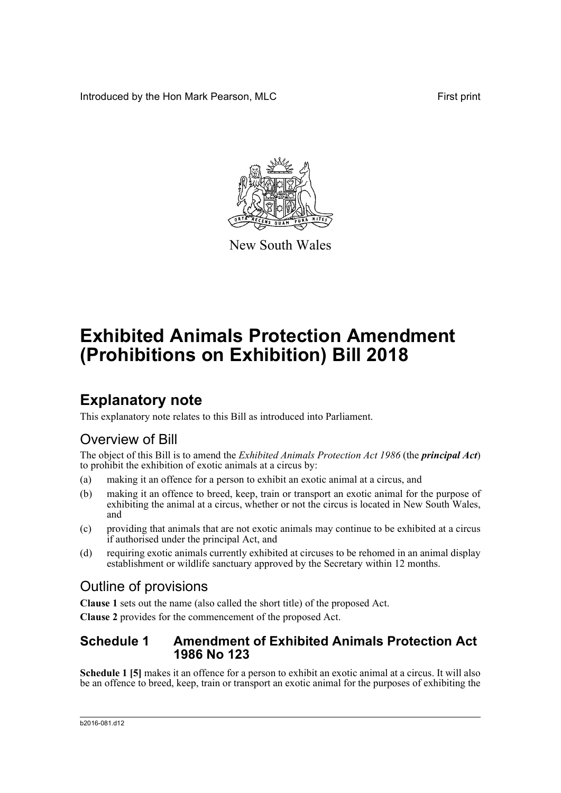Introduced by the Hon Mark Pearson, MLC **First print** First print



New South Wales

# **Exhibited Animals Protection Amendment (Prohibitions on Exhibition) Bill 2018**

## **Explanatory note**

This explanatory note relates to this Bill as introduced into Parliament.

### Overview of Bill

The object of this Bill is to amend the *Exhibited Animals Protection Act 1986* (the *principal Act*) to prohibit the exhibition of exotic animals at a circus by:

- (a) making it an offence for a person to exhibit an exotic animal at a circus, and
- (b) making it an offence to breed, keep, train or transport an exotic animal for the purpose of exhibiting the animal at a circus, whether or not the circus is located in New South Wales, and
- (c) providing that animals that are not exotic animals may continue to be exhibited at a circus if authorised under the principal Act, and
- (d) requiring exotic animals currently exhibited at circuses to be rehomed in an animal display establishment or wildlife sanctuary approved by the Secretary within 12 months.

### Outline of provisions

**Clause 1** sets out the name (also called the short title) of the proposed Act.

**Clause 2** provides for the commencement of the proposed Act.

#### **Schedule 1 Amendment of Exhibited Animals Protection Act 1986 No 123**

**Schedule 1 [5]** makes it an offence for a person to exhibit an exotic animal at a circus. It will also be an offence to breed, keep, train or transport an exotic animal for the purposes of exhibiting the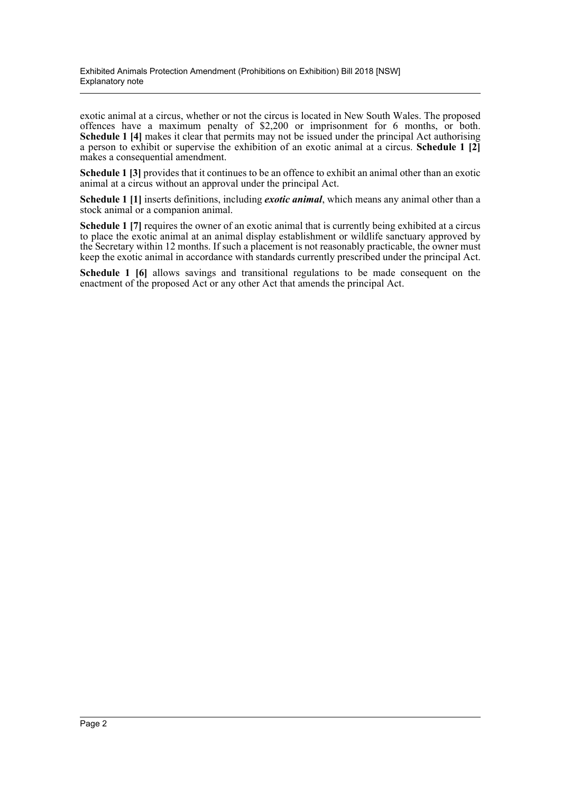exotic animal at a circus, whether or not the circus is located in New South Wales. The proposed offences have a maximum penalty of \$2,200 or imprisonment for 6 months, or both. **Schedule 1 [4]** makes it clear that permits may not be issued under the principal Act authorising a person to exhibit or supervise the exhibition of an exotic animal at a circus. **Schedule 1 [2]** makes a consequential amendment.

**Schedule 1 [3]** provides that it continues to be an offence to exhibit an animal other than an exotic animal at a circus without an approval under the principal Act.

**Schedule 1 [1]** inserts definitions, including *exotic animal*, which means any animal other than a stock animal or a companion animal.

**Schedule 1** [7] requires the owner of an exotic animal that is currently being exhibited at a circus to place the exotic animal at an animal display establishment or wildlife sanctuary approved by the Secretary within 12 months. If such a placement is not reasonably practicable, the owner must keep the exotic animal in accordance with standards currently prescribed under the principal Act.

**Schedule 1 [6]** allows savings and transitional regulations to be made consequent on the enactment of the proposed Act or any other Act that amends the principal Act.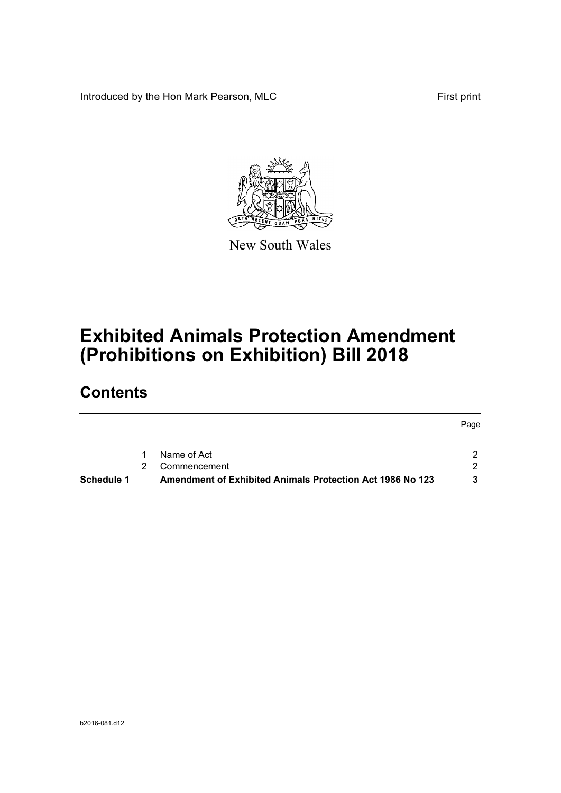Introduced by the Hon Mark Pearson, MLC First print



New South Wales

# **Exhibited Animals Protection Amendment (Prohibitions on Exhibition) Bill 2018**

## **Contents**

|            |   |                                                                  | Page |
|------------|---|------------------------------------------------------------------|------|
|            |   | Name of Act                                                      |      |
|            | 2 | Commencement                                                     |      |
| Schedule 1 |   | <b>Amendment of Exhibited Animals Protection Act 1986 No 123</b> | 2    |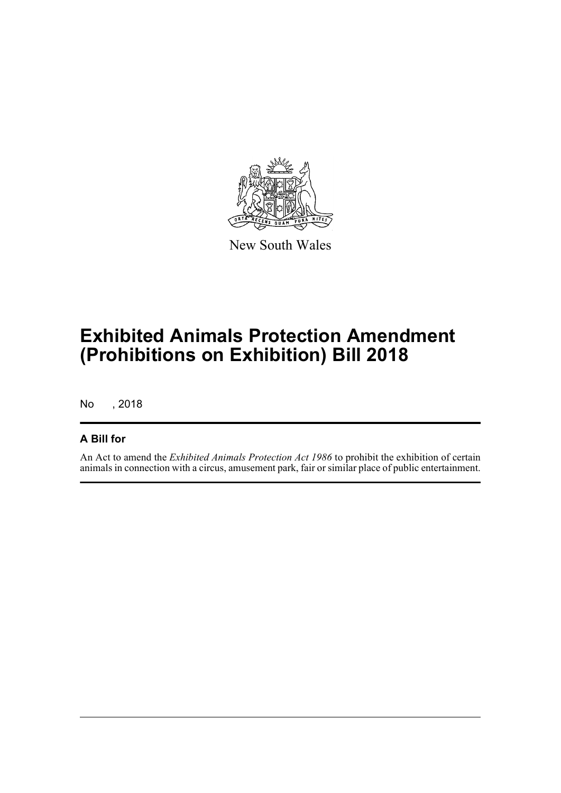

New South Wales

## **Exhibited Animals Protection Amendment (Prohibitions on Exhibition) Bill 2018**

No , 2018

#### **A Bill for**

An Act to amend the *Exhibited Animals Protection Act 1986* to prohibit the exhibition of certain animals in connection with a circus, amusement park, fair or similar place of public entertainment.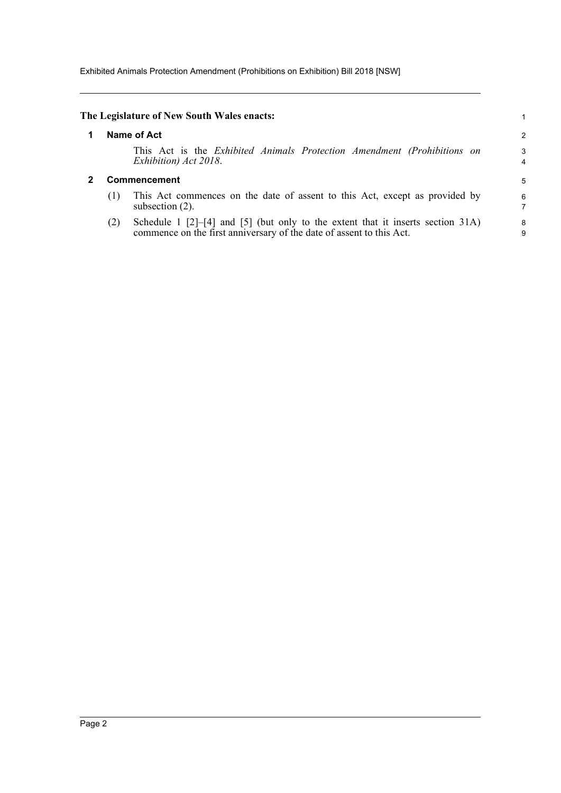Exhibited Animals Protection Amendment (Prohibitions on Exhibition) Bill 2018 [NSW]

#### <span id="page-4-1"></span><span id="page-4-0"></span>**The Legislature of New South Wales enacts:** 1 **1 Name of Act** 2 This Act is the *Exhibited Animals Protection Amendment (Prohibitions on* 3 *Exhibition) Act 2018*. 4 **2 Commencement** 5 (1) This Act commences on the date of assent to this Act, except as provided by 6 subsection  $(2)$ . (2) Schedule 1 [2]–[4] and [5] (but only to the extent that it inserts section 31A) 8 commence on the first anniversary of the date of assent to this Act. 9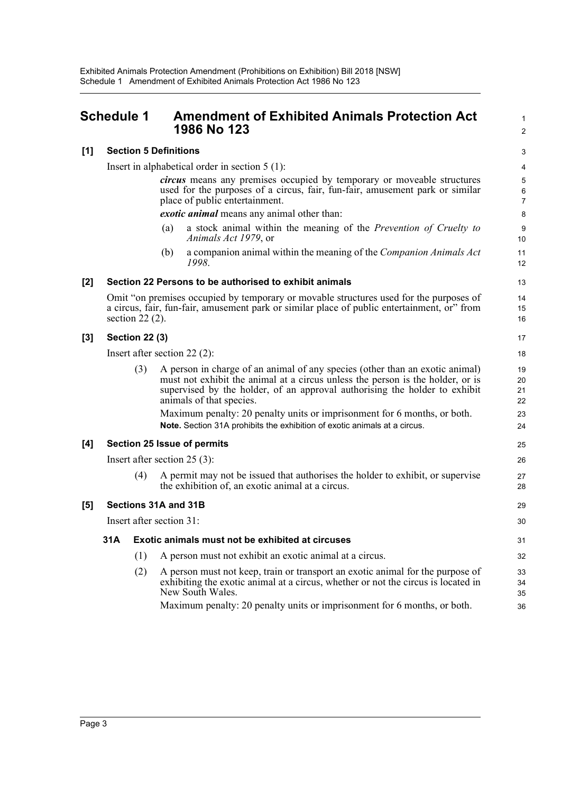<span id="page-5-0"></span>

|     | Schedule 1 |                                | <b>Amendment of Exhibited Animals Protection Act</b><br>1986 No 123                                                                                                                                                                                                                                                                                  | 1<br>$\overline{\mathbf{c}}$ |
|-----|------------|--------------------------------|------------------------------------------------------------------------------------------------------------------------------------------------------------------------------------------------------------------------------------------------------------------------------------------------------------------------------------------------------|------------------------------|
| [1] |            |                                | <b>Section 5 Definitions</b>                                                                                                                                                                                                                                                                                                                         | 3                            |
|     |            |                                | Insert in alphabetical order in section $5(1)$ :                                                                                                                                                                                                                                                                                                     | 4                            |
|     |            |                                | circus means any premises occupied by temporary or moveable structures<br>used for the purposes of a circus, fair, fun-fair, amusement park or similar<br>place of public entertainment.                                                                                                                                                             | 5<br>6<br>$\overline{7}$     |
|     |            |                                | exotic animal means any animal other than:                                                                                                                                                                                                                                                                                                           | 8                            |
|     |            |                                | a stock animal within the meaning of the Prevention of Cruelty to<br>(a)<br>Animals Act 1979, or                                                                                                                                                                                                                                                     | 9<br>10                      |
|     |            |                                | a companion animal within the meaning of the Companion Animals Act<br>(b)<br>1998.                                                                                                                                                                                                                                                                   | 11<br>12                     |
| [2] |            |                                | Section 22 Persons to be authorised to exhibit animals                                                                                                                                                                                                                                                                                               | 13                           |
|     |            | section $22(2)$ .              | Omit "on premises occupied by temporary or movable structures used for the purposes of<br>a circus, fair, fun-fair, amusement park or similar place of public entertainment, or" from                                                                                                                                                                | 14<br>15<br>16               |
| [3] |            | <b>Section 22 (3)</b>          |                                                                                                                                                                                                                                                                                                                                                      | 17                           |
|     |            | Insert after section $22(2)$ : |                                                                                                                                                                                                                                                                                                                                                      |                              |
|     |            | (3)                            | A person in charge of an animal of any species (other than an exotic animal)<br>must not exhibit the animal at a circus unless the person is the holder, or is<br>supervised by the holder, of an approval authorising the holder to exhibit<br>animals of that species.<br>Maximum penalty: 20 penalty units or imprisonment for 6 months, or both. | 19<br>20<br>21<br>22<br>23   |
|     |            |                                | Note. Section 31A prohibits the exhibition of exotic animals at a circus.                                                                                                                                                                                                                                                                            | 24                           |
| [4] |            |                                | <b>Section 25 Issue of permits</b>                                                                                                                                                                                                                                                                                                                   | 25                           |
|     |            |                                | Insert after section $25(3)$ :                                                                                                                                                                                                                                                                                                                       | 26                           |
|     |            | (4)                            | A permit may not be issued that authorises the holder to exhibit, or supervise<br>the exhibition of, an exotic animal at a circus.                                                                                                                                                                                                                   | 27<br>28                     |
| [5] |            |                                | Sections 31A and 31B                                                                                                                                                                                                                                                                                                                                 | 29                           |
|     |            |                                | Insert after section 31:                                                                                                                                                                                                                                                                                                                             | 30                           |
|     | 31A        |                                | Exotic animals must not be exhibited at circuses                                                                                                                                                                                                                                                                                                     | 31                           |
|     |            | (1)                            | A person must not exhibit an exotic animal at a circus.                                                                                                                                                                                                                                                                                              | 32                           |
|     |            | (2)                            | A person must not keep, train or transport an exotic animal for the purpose of<br>exhibiting the exotic animal at a circus, whether or not the circus is located in<br>New South Wales.                                                                                                                                                              | 33<br>34<br>35               |
|     |            |                                | Maximum penalty: 20 penalty units or imprisonment for 6 months, or both.                                                                                                                                                                                                                                                                             | 36                           |